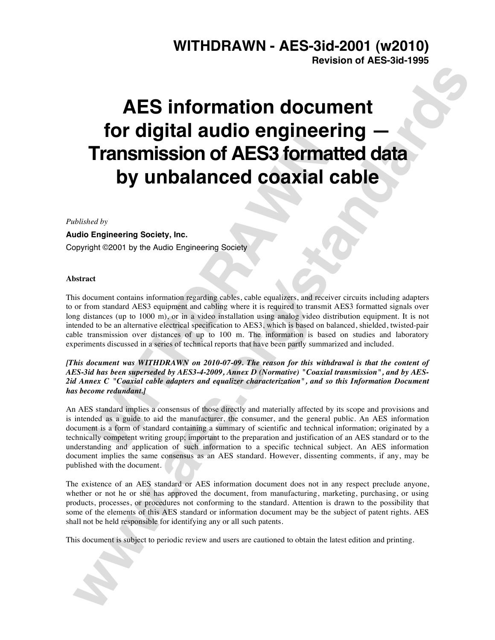# **WITHDRAWN - AES-3id-2001 (w2010) Revision of AES-3id-1995**

# **AES information equino engineering —**<br> **Transmission of AES3 formatied data**<br> **by unbalanced coaxial cable**<br> **by unbalanced coaxial cable**<br> **by unbalanced coaxial cable**<br> **by unbalanced coaxial cable**<br> **by unbalanced coax AES information document for digital audio engineering — Transmission of AES3 formatted data by unbalanced coaxial cable**

*Published by*

**Audio Engineering Society, Inc.** Copyright ©2001 by the Audio Engineering Society

## **Abstract**

**Transmission of AES3 formation**<br>
by unbalanced coaxial (<br>
ted by<br>
Engineering Society, Inc.<br>
fight @2001 by the Audio Engineering Society<br>
external metals are above to the Audio Engineering Society<br>
external metals of the This document contains information regarding cables, cable equalizers, and receiver circuits including adapters to or from standard AES3 equipment and cabling where it is required to transmit AES3 formatted signals over long distances (up to 1000 m), or in a video installation using analog video distribution equipment. It is not intended to be an alternative electrical specification to AES3, which is based on balanced, shielded, twisted-pair cable transmission over distances of up to 100 m. The information is based on studies and laboratory experiments discussed in a series of technical reports that have been partly summarized and included.

*[This document was WITHDRAWN on 2010-07-09. The reason for this withdrawal is that the content of AES-3id has been superseded by AES3-4-2009, Annex D (Normative) "Coaxial transmission", and by AES-2id Annex C "Coaxial cable adapters and equalizer characterization", and so this Information Document has become redundant.]*

An AES standard implies a consensus of those directly and materially affected by its scope and provisions and is intended as a guide to aid the manufacturer, the consumer, and the general public. An AES information document is a form of standard containing a summary of scientific and technical information; originated by a technically competent writing group; important to the preparation and justification of an AES standard or to the understanding and application of such information to a specific technical subject. An AES information document implies the same consensus as an AES standard. However, dissenting comments, if any, may be published with the document.

The existence of an AES standard or AES information document does not in any respect preclude anyone, whether or not he or she has approved the document, from manufacturing, marketing, purchasing, or using products, processes, or procedures not conforming to the standard. Attention is drawn to the possibility that some of the elements of this AES standard or information document may be the subject of patent rights. AES shall not be held responsible for identifying any or all such patents.

This document is subject to periodic review and users are cautioned to obtain the latest edition and printing.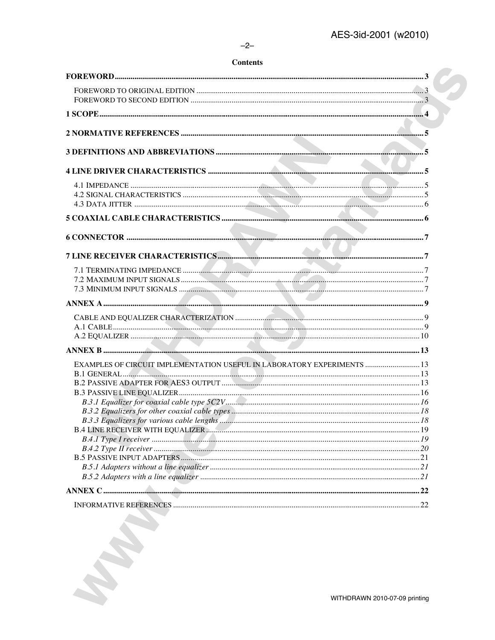#### $-2-$

# **Contents**

| EXAMPLES OF CIRCUIT IMPLEMENTATION USEFUL IN LABORATORY EXPERIMENTS  13 |  |
|-------------------------------------------------------------------------|--|
|                                                                         |  |
|                                                                         |  |
|                                                                         |  |
|                                                                         |  |
|                                                                         |  |
|                                                                         |  |
|                                                                         |  |
|                                                                         |  |
|                                                                         |  |
|                                                                         |  |
|                                                                         |  |
|                                                                         |  |
|                                                                         |  |
|                                                                         |  |
|                                                                         |  |
|                                                                         |  |
|                                                                         |  |
|                                                                         |  |
|                                                                         |  |
|                                                                         |  |
| WITHDRAWN 2010-07-09 printing                                           |  |
|                                                                         |  |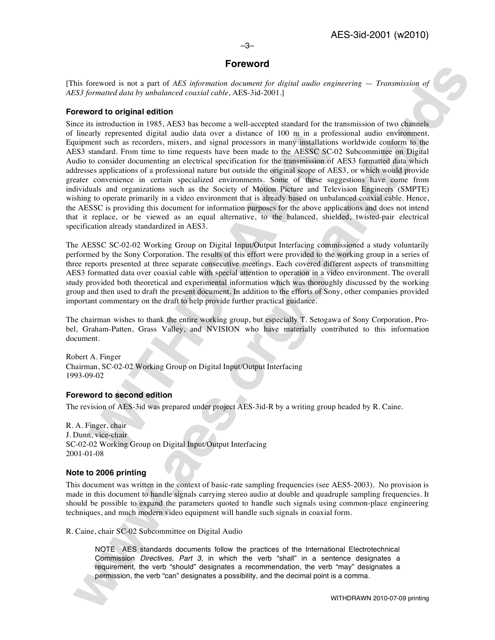# **Foreword**

[This foreword is not a part of *AES information document for digital audio engineering* — *Transmission of AES3 formatted data by unbalanced coaxial cable*, AES-3id-2001.]

#### **Foreword to original edition**

any represented organization conducts of the a unstanted or 100 hin in a poor and the conducts that the conducts have been made to the AESSC SC sensitive to consider documents in an expectral specification for the transmis **No formered is not a part of ATS information developed and one proposed control one and a series of the control of the control of the control of the control of the control of the control of the control of the control of t** Since its introduction in 1985, AES3 has become a well-accepted standard for the transmission of two channels of linearly represented digital audio data over a distance of 100 m in a professional audio environment. Equipment such as recorders, mixers, and signal processors in many installations worldwide conform to the AES3 standard. From time to time requests have been made to the AESSC SC-02 Subcommittee on Digital Audio to consider documenting an electrical specification for the transmission of AES3 formatted data which addresses applications of a professional nature but outside the original scope of AES3, or which would provide greater convenience in certain specialized environments. Some of these suggestions have come from individuals and organizations such as the Society of Motion Picture and Television Engineers (SMPTE) wishing to operate primarily in a video environment that is already based on unbalanced coaxial cable. Hence, the AESSC is providing this document for information purposes for the above applications and does not intend that it replace, or be viewed as an equal alternative, to the balanced, shielded, twisted-pair electrical specification already standardized in AES3.

The AESSC SC-02-02 Working Group on Digital Input/Output Interfacing commissioned a study voluntarily performed by the Sony Corporation. The results of this effort were provided to the working group in a series of three reports presented at three separate consecutive meetings. Each covered different aspects of transmitting AES3 formatted data over coaxial cable with special attention to operation in a video environment. The overall study provided both theoretical and experimental information which was thoroughly discussed by the working group and then used to draft the present document. In addition to the efforts of Sony, other companies provided important commentary on the draft to help provide further practical guidance.

The chairman wishes to thank the entire working group, but especially T. Setogawa of Sony Corporation, Probel, Graham-Patten, Grass Valley, and NVISION who have materially contributed to this information document.

Robert A. Finger Chairman, SC-02-02 Working Group on Digital Input/Output Interfacing 1993-09-02

## **Foreword to second edition**

The revision of AES-3id was prepared under project AES-3id-R by a writing group headed by R. Caine.

R. A. Finger, chair J. Dunn, vice-chair SC-02-02 Working Group on Digital Input/Output Interfacing 2001-01-08

## **Note to 2006 printing**

This document was written in the context of basic-rate sampling frequencies (see AES5-2003). No provision is made in this document to handle signals carrying stereo audio at double and quadruple sampling frequencies. It should be possible to expand the parameters quoted to handle such signals using common-place engineering techniques, and much modern video equipment will handle such signals in coaxial form.

R. Caine, chair SC-02 Subcommittee on Digital Audio

NOTE AES standards documents follow the practices of the International Electrotechnical Commission *Directives, Part 3*, in which the verb "shall" in a sentence designates a requirement, the verb "should" designates a recommendation, the verb "may" designates a permission, the verb "can" designates a possibility, and the decimal point is a comma.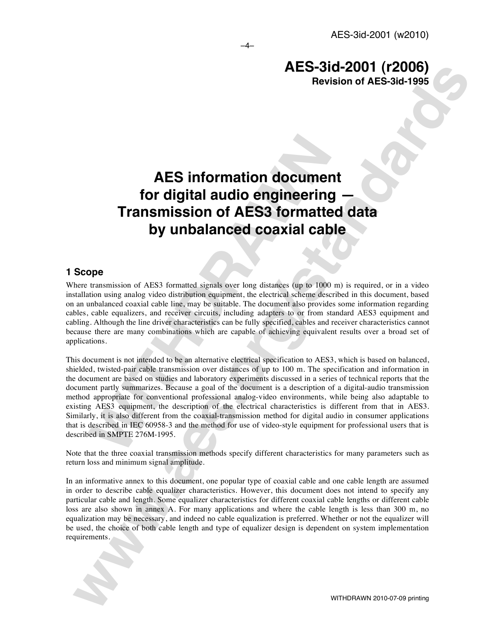# **AES information document for digital audio engineering — Transmission of AES3 formatted data by unbalanced coaxial cable**

# **1 Scope**

Where transmission of AES3 formatted signals over long distances (up to 1000 m) is required, or in a video installation using analog video distribution equipment, the electrical scheme described in this document, based on an unbalanced coaxial cable line, may be suitable. The document also provides some information regarding cables, cable equalizers, and receiver circuits, including adapters to or from standard AES3 equipment and cabling. Although the line driver characteristics can be fully specified, cables and receiver characteristics cannot because there are many combinations which are capable of achieving equivalent results over a broad set of applications.

**AES information documer<br>for digital audio engineering<br>Transmission of AES3 formatte<br>by unbalanced coaxial cab<br>pope<br>persons of AES3 formated signals over long distances (up to 1000<br>transmission of AES3 formated signals ove AES-31d-2001 (F2006)**<br>**AES-standards**<br>**Revision of AES-31d-2001 (F2006)**<br>**Revision of AES-standards**<br>**Considerably and the considerably are the standard details by unbalanced coaxidal cable<br>
Sope<br>
Several members of ATSA** This document is not intended to be an alternative electrical specification to AES3, which is based on balanced, shielded, twisted-pair cable transmission over distances of up to 100 m. The specification and information in the document are based on studies and laboratory experiments discussed in a series of technical reports that the document partly summarizes. Because a goal of the document is a description of a digital-audio transmission method appropriate for conventional professional analog-video environments, while being also adaptable to existing AES3 equipment, the description of the electrical characteristics is different from that in AES3. Similarly, it is also different from the coaxial-transmission method for digital audio in consumer applications that is described in IEC 60958-3 and the method for use of video-style equipment for professional users that is described in SMPTE 276M-1995.

Note that the three coaxial transmission methods specify different characteristics for many parameters such as return loss and minimum signal amplitude.

In an informative annex to this document, one popular type of coaxial cable and one cable length are assumed in order to describe cable equalizer characteristics. However, this document does not intend to specify any particular cable and length. Some equalizer characteristics for different coaxial cable lengths or different cable loss are also shown in annex A. For many applications and where the cable length is less than 300 m, no equalization may be necessary, and indeed no cable equalization is preferred. Whether or not the equalizer will be used, the choice of both cable length and type of equalizer design is dependent on system implementation requirements.